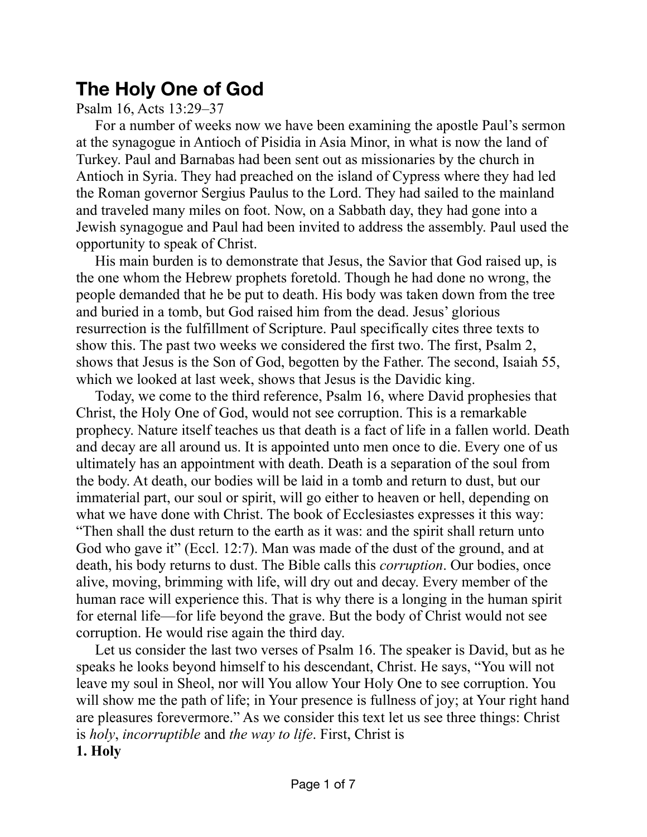## **The Holy One of God**

Psalm 16, Acts 13:29–37

For a number of weeks now we have been examining the apostle Paul's sermon at the synagogue in Antioch of Pisidia in Asia Minor, in what is now the land of Turkey. Paul and Barnabas had been sent out as missionaries by the church in Antioch in Syria. They had preached on the island of Cypress where they had led the Roman governor Sergius Paulus to the Lord. They had sailed to the mainland and traveled many miles on foot. Now, on a Sabbath day, they had gone into a Jewish synagogue and Paul had been invited to address the assembly. Paul used the opportunity to speak of Christ.

His main burden is to demonstrate that Jesus, the Savior that God raised up, is the one whom the Hebrew prophets foretold. Though he had done no wrong, the people demanded that he be put to death. His body was taken down from the tree and buried in a tomb, but God raised him from the dead. Jesus' glorious resurrection is the fulfillment of Scripture. Paul specifically cites three texts to show this. The past two weeks we considered the first two. The first, Psalm 2, shows that Jesus is the Son of God, begotten by the Father. The second, Isaiah 55, which we looked at last week, shows that Jesus is the Davidic king.

Today, we come to the third reference, Psalm 16, where David prophesies that Christ, the Holy One of God, would not see corruption. This is a remarkable prophecy. Nature itself teaches us that death is a fact of life in a fallen world. Death and decay are all around us. It is appointed unto men once to die. Every one of us ultimately has an appointment with death. Death is a separation of the soul from the body. At death, our bodies will be laid in a tomb and return to dust, but our immaterial part, our soul or spirit, will go either to heaven or hell, depending on what we have done with Christ. The book of Ecclesiastes expresses it this way: "Then shall the dust return to the earth as it was: and the spirit shall return unto God who gave it" (Eccl. 12:7). Man was made of the dust of the ground, and at death, his body returns to dust. The Bible calls this *corruption*. Our bodies, once alive, moving, brimming with life, will dry out and decay. Every member of the human race will experience this. That is why there is a longing in the human spirit for eternal life—for life beyond the grave. But the body of Christ would not see corruption. He would rise again the third day.

Let us consider the last two verses of Psalm 16. The speaker is David, but as he speaks he looks beyond himself to his descendant, Christ. He says, "You will not leave my soul in Sheol, nor will You allow Your Holy One to see corruption. You will show me the path of life; in Your presence is fullness of joy; at Your right hand are pleasures forevermore." As we consider this text let us see three things: Christ is *holy*, *incorruptible* and *the way to life*. First, Christ is **1. Holy**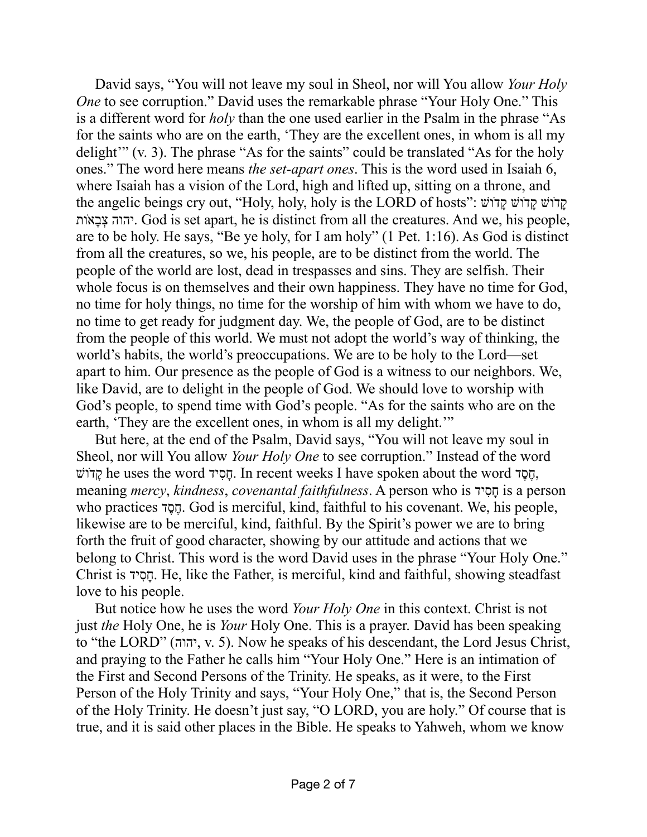David says, "You will not leave my soul in Sheol, nor will You allow *Your Holy One* to see corruption." David uses the remarkable phrase "Your Holy One." This is a different word for *holy* than the one used earlier in the Psalm in the phrase "As for the saints who are on the earth, 'They are the excellent ones, in whom is all my delight'" (v. 3). The phrase "As for the saints" could be translated "As for the holy ones." The word here means *the set-apart ones*. This is the word used in Isaiah 6, where Isaiah has a vision of the Lord, high and lifted up, sitting on a throne, and the angelic beings cry out, "Holy, holy, holy is the LORD of hosts": קַדוֹשׁ קֲדוֹשׁ ד ותֹ אָב ְצ יהוה. God is set apart, he is distinct from all the creatures. And we, his people, are to be holy. He says, "Be ye holy, for I am holy" (1 Pet. 1:16). As God is distinct from all the creatures, so we, his people, are to be distinct from the world. The people of the world are lost, dead in trespasses and sins. They are selfish. Their whole focus is on themselves and their own happiness. They have no time for God, no time for holy things, no time for the worship of him with whom we have to do, no time to get ready for judgment day. We, the people of God, are to be distinct from the people of this world. We must not adopt the world's way of thinking, the world's habits, the world's preoccupations. We are to be holy to the Lord—set apart to him. Our presence as the people of God is a witness to our neighbors. We, like David, are to delight in the people of God. We should love to worship with God's people, to spend time with God's people. "As for the saints who are on the earth, 'They are the excellent ones, in whom is all my delight.'"

But here, at the end of the Psalm, David says, "You will not leave my soul in Sheol, nor will You allow *Your Holy One* to see corruption." Instead of the word ושָּׁד he uses the word הֲסִיד. In recent weeks I have spoken about the word הֲ meaning *mercy*, *kindness*, *covenantal faithfulness*. A person who is יד ִסָח is a person who practices דֶסֶח. God is merciful, kind, faithful to his covenant. We, his people, likewise are to be merciful, kind, faithful. By the Spirit's power we are to bring forth the fruit of good character, showing by our attitude and actions that we belong to Christ. This word is the word David uses in the phrase "Your Holy One." Christ is יד ִסָח. He, like the Father, is merciful, kind and faithful, showing steadfast love to his people.

But notice how he uses the word *Your Holy One* in this context. Christ is not just *the* Holy One, he is *Your* Holy One. This is a prayer. David has been speaking to "the LORD" (יהוה, v. 5). Now he speaks of his descendant, the Lord Jesus Christ, and praying to the Father he calls him "Your Holy One." Here is an intimation of the First and Second Persons of the Trinity. He speaks, as it were, to the First Person of the Holy Trinity and says, "Your Holy One," that is, the Second Person of the Holy Trinity. He doesn't just say, "O LORD, you are holy." Of course that is true, and it is said other places in the Bible. He speaks to Yahweh, whom we know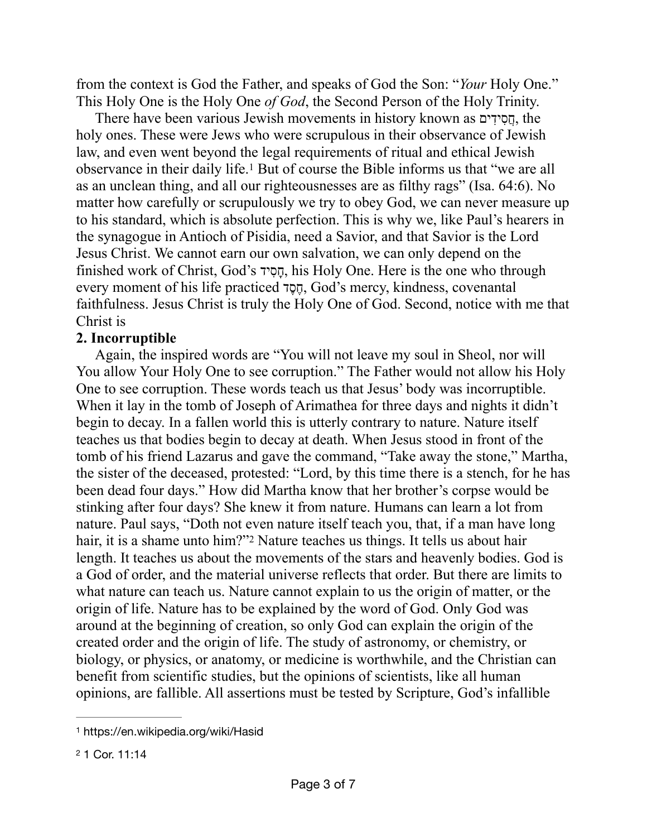from the context is God the Father, and speaks of God the Son: "*Your* Holy One." This Holy One is the Holy One *of God*, the Second Person of the Holy Trinity.

<span id="page-2-2"></span>There have been various Jewish movements in history known as חֲסִידִים, the holy ones. These were Jews who were scrupulous in their observance of Jewish law, and even went beyond the legal requirements of ritual and ethical Jewish observance in their daily life.<sup>[1](#page-2-0)</sup> But of course the Bible informs us that "we are all as an unclean thing, and all our righteousnesses are as filthy rags" (Isa. 64:6). No matter how carefully or scrupulously we try to obey God, we can never measure up to his standard, which is absolute perfection. This is why we, like Paul's hearers in the synagogue in Antioch of Pisidia, need a Savior, and that Savior is the Lord Jesus Christ. We cannot earn our own salvation, we can only depend on the finished work of Christ, God's יד ִסָח, his Holy One. Here is the one who through every moment of his life practiced דֶסֶח, God's mercy, kindness, covenantal faithfulness. Jesus Christ is truly the Holy One of God. Second, notice with me that Christ is

## **2. Incorruptible**

<span id="page-2-3"></span>Again, the inspired words are "You will not leave my soul in Sheol, nor will You allow Your Holy One to see corruption." The Father would not allow his Holy One to see corruption. These words teach us that Jesus' body was incorruptible. When it lay in the tomb of Joseph of Arimathea for three days and nights it didn't begin to decay. In a fallen world this is utterly contrary to nature. Nature itself teaches us that bodies begin to decay at death. When Jesus stood in front of the tomb of his friend Lazarus and gave the command, "Take away the stone," Martha, the sister of the deceased, protested: "Lord, by this time there is a stench, for he has been dead four days." How did Martha know that her brother's corpse would be stinking after four days? She knew it from nature. Humans can learn a lot from nature. Paul says, "Doth not even nature itself teach you, that, if a man have long hair,it is a shame unto him?"<sup>[2](#page-2-1)</sup> Nature teaches us things. It tells us about hair length. It teaches us about the movements of the stars and heavenly bodies. God is a God of order, and the material universe reflects that order. But there are limits to what nature can teach us. Nature cannot explain to us the origin of matter, or the origin of life. Nature has to be explained by the word of God. Only God was around at the beginning of creation, so only God can explain the origin of the created order and the origin of life. The study of astronomy, or chemistry, or biology, or physics, or anatomy, or medicine is worthwhile, and the Christian can benefit from scientific studies, but the opinions of scientists, like all human opinions, are fallible. All assertions must be tested by Scripture, God's infallible

<span id="page-2-0"></span>[<sup>1</sup>](#page-2-2) https://en.wikipedia.org/wiki/Hasid

<span id="page-2-1"></span>[<sup>2</sup>](#page-2-3) 1 Cor. 11:14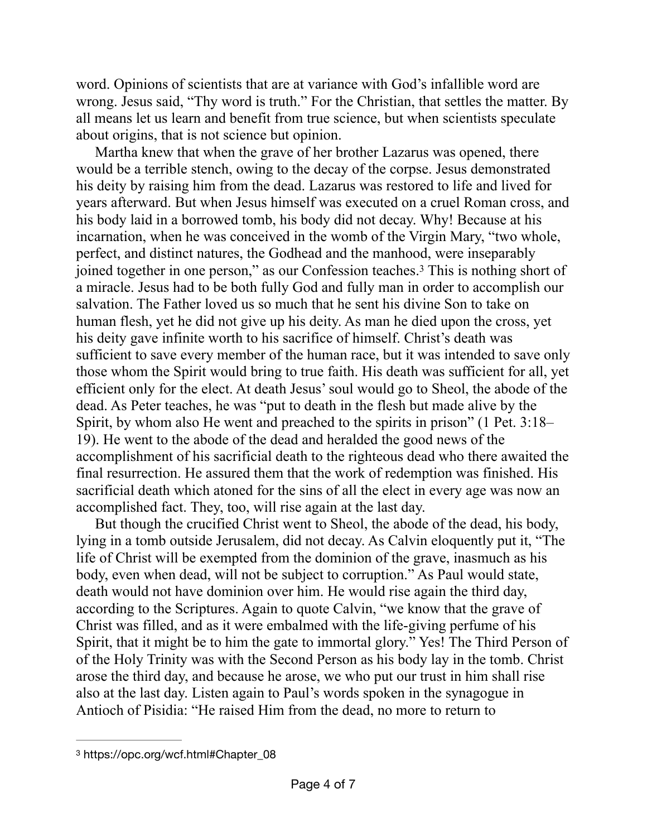word. Opinions of scientists that are at variance with God's infallible word are wrong. Jesus said, "Thy word is truth." For the Christian, that settles the matter. By all means let us learn and benefit from true science, but when scientists speculate about origins, that is not science but opinion.

<span id="page-3-1"></span>Martha knew that when the grave of her brother Lazarus was opened, there would be a terrible stench, owing to the decay of the corpse. Jesus demonstrated his deity by raising him from the dead. Lazarus was restored to life and lived for years afterward. But when Jesus himself was executed on a cruel Roman cross, and his body laid in a borrowed tomb, his body did not decay. Why! Because at his incarnation, when he was conceived in the womb of the Virgin Mary, "two whole, perfect, and distinct natures, the Godhead and the manhood, were inseparably joined together in one person," as our Confession teaches.<sup>[3](#page-3-0)</sup> This is nothing short of a miracle. Jesus had to be both fully God and fully man in order to accomplish our salvation. The Father loved us so much that he sent his divine Son to take on human flesh, yet he did not give up his deity. As man he died upon the cross, yet his deity gave infinite worth to his sacrifice of himself. Christ's death was sufficient to save every member of the human race, but it was intended to save only those whom the Spirit would bring to true faith. His death was sufficient for all, yet efficient only for the elect. At death Jesus' soul would go to Sheol, the abode of the dead. As Peter teaches, he was "put to death in the flesh but made alive by the Spirit, by whom also He went and preached to the spirits in prison" (1 Pet. 3:18– 19). He went to the abode of the dead and heralded the good news of the accomplishment of his sacrificial death to the righteous dead who there awaited the final resurrection. He assured them that the work of redemption was finished. His sacrificial death which atoned for the sins of all the elect in every age was now an accomplished fact. They, too, will rise again at the last day.

But though the crucified Christ went to Sheol, the abode of the dead, his body, lying in a tomb outside Jerusalem, did not decay. As Calvin eloquently put it, "The life of Christ will be exempted from the dominion of the grave, inasmuch as his body, even when dead, will not be subject to corruption." As Paul would state, death would not have dominion over him. He would rise again the third day, according to the Scriptures. Again to quote Calvin, "we know that the grave of Christ was filled, and as it were embalmed with the life-giving perfume of his Spirit, that it might be to him the gate to immortal glory." Yes! The Third Person of of the Holy Trinity was with the Second Person as his body lay in the tomb. Christ arose the third day, and because he arose, we who put our trust in him shall rise also at the last day. Listen again to Paul's words spoken in the synagogue in Antioch of Pisidia: "He raised Him from the dead, no more to return to

<span id="page-3-0"></span>[<sup>3</sup>](#page-3-1) https://opc.org/wcf.html#Chapter\_08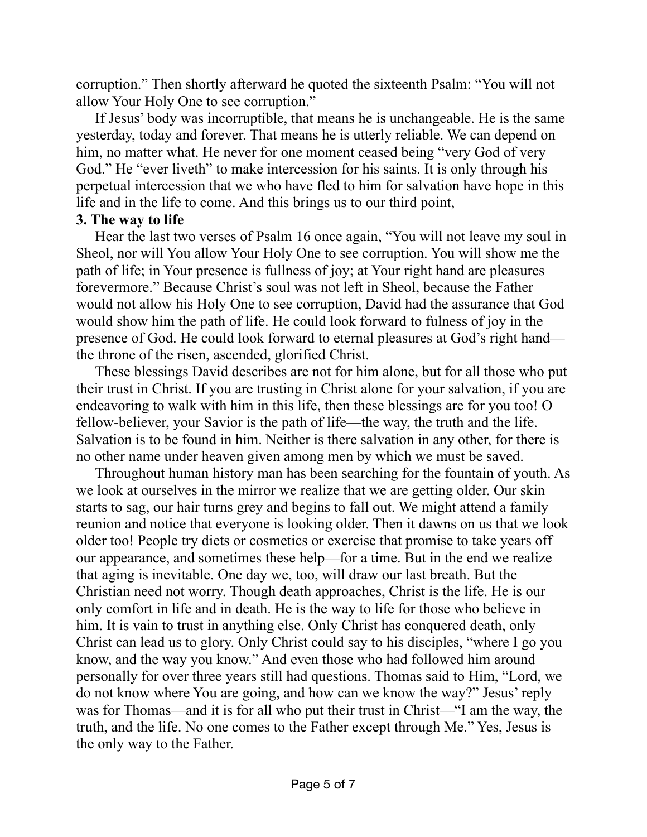corruption." Then shortly afterward he quoted the sixteenth Psalm: "You will not allow Your Holy One to see corruption."

If Jesus' body was incorruptible, that means he is unchangeable. He is the same yesterday, today and forever. That means he is utterly reliable. We can depend on him, no matter what. He never for one moment ceased being "very God of very God." He "ever liveth" to make intercession for his saints. It is only through his perpetual intercession that we who have fled to him for salvation have hope in this life and in the life to come. And this brings us to our third point,

## **3. The way to life**

Hear the last two verses of Psalm 16 once again, "You will not leave my soul in Sheol, nor will You allow Your Holy One to see corruption. You will show me the path of life; in Your presence is fullness of joy; at Your right hand are pleasures forevermore." Because Christ's soul was not left in Sheol, because the Father would not allow his Holy One to see corruption, David had the assurance that God would show him the path of life. He could look forward to fulness of joy in the presence of God. He could look forward to eternal pleasures at God's right hand the throne of the risen, ascended, glorified Christ.

These blessings David describes are not for him alone, but for all those who put their trust in Christ. If you are trusting in Christ alone for your salvation, if you are endeavoring to walk with him in this life, then these blessings are for you too! O fellow-believer, your Savior is the path of life—the way, the truth and the life. Salvation is to be found in him. Neither is there salvation in any other, for there is no other name under heaven given among men by which we must be saved.

Throughout human history man has been searching for the fountain of youth. As we look at ourselves in the mirror we realize that we are getting older. Our skin starts to sag, our hair turns grey and begins to fall out. We might attend a family reunion and notice that everyone is looking older. Then it dawns on us that we look older too! People try diets or cosmetics or exercise that promise to take years off our appearance, and sometimes these help—for a time. But in the end we realize that aging is inevitable. One day we, too, will draw our last breath. But the Christian need not worry. Though death approaches, Christ is the life. He is our only comfort in life and in death. He is the way to life for those who believe in him. It is vain to trust in anything else. Only Christ has conquered death, only Christ can lead us to glory. Only Christ could say to his disciples, "where I go you know, and the way you know." And even those who had followed him around personally for over three years still had questions. Thomas said to Him, "Lord, we do not know where You are going, and how can we know the way?" Jesus' reply was for Thomas—and it is for all who put their trust in Christ—"I am the way, the truth, and the life. No one comes to the Father except through Me." Yes, Jesus is the only way to the Father.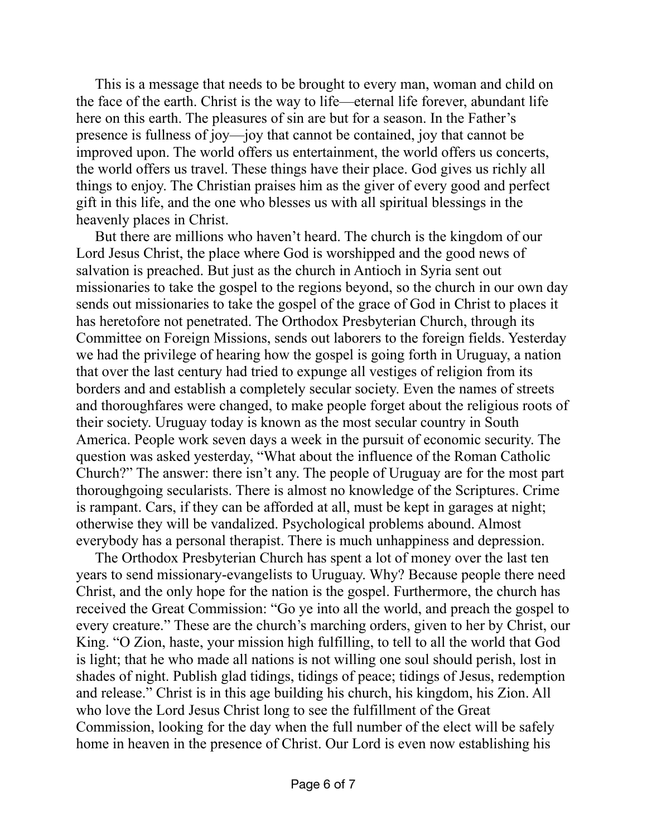This is a message that needs to be brought to every man, woman and child on the face of the earth. Christ is the way to life—eternal life forever, abundant life here on this earth. The pleasures of sin are but for a season. In the Father's presence is fullness of joy—joy that cannot be contained, joy that cannot be improved upon. The world offers us entertainment, the world offers us concerts, the world offers us travel. These things have their place. God gives us richly all things to enjoy. The Christian praises him as the giver of every good and perfect gift in this life, and the one who blesses us with all spiritual blessings in the heavenly places in Christ.

But there are millions who haven't heard. The church is the kingdom of our Lord Jesus Christ, the place where God is worshipped and the good news of salvation is preached. But just as the church in Antioch in Syria sent out missionaries to take the gospel to the regions beyond, so the church in our own day sends out missionaries to take the gospel of the grace of God in Christ to places it has heretofore not penetrated. The Orthodox Presbyterian Church, through its Committee on Foreign Missions, sends out laborers to the foreign fields. Yesterday we had the privilege of hearing how the gospel is going forth in Uruguay, a nation that over the last century had tried to expunge all vestiges of religion from its borders and and establish a completely secular society. Even the names of streets and thoroughfares were changed, to make people forget about the religious roots of their society. Uruguay today is known as the most secular country in South America. People work seven days a week in the pursuit of economic security. The question was asked yesterday, "What about the influence of the Roman Catholic Church?" The answer: there isn't any. The people of Uruguay are for the most part thoroughgoing secularists. There is almost no knowledge of the Scriptures. Crime is rampant. Cars, if they can be afforded at all, must be kept in garages at night; otherwise they will be vandalized. Psychological problems abound. Almost everybody has a personal therapist. There is much unhappiness and depression.

The Orthodox Presbyterian Church has spent a lot of money over the last ten years to send missionary-evangelists to Uruguay. Why? Because people there need Christ, and the only hope for the nation is the gospel. Furthermore, the church has received the Great Commission: "Go ye into all the world, and preach the gospel to every creature." These are the church's marching orders, given to her by Christ, our King. "O Zion, haste, your mission high fulfilling, to tell to all the world that God is light; that he who made all nations is not willing one soul should perish, lost in shades of night. Publish glad tidings, tidings of peace; tidings of Jesus, redemption and release." Christ is in this age building his church, his kingdom, his Zion. All who love the Lord Jesus Christ long to see the fulfillment of the Great Commission, looking for the day when the full number of the elect will be safely home in heaven in the presence of Christ. Our Lord is even now establishing his